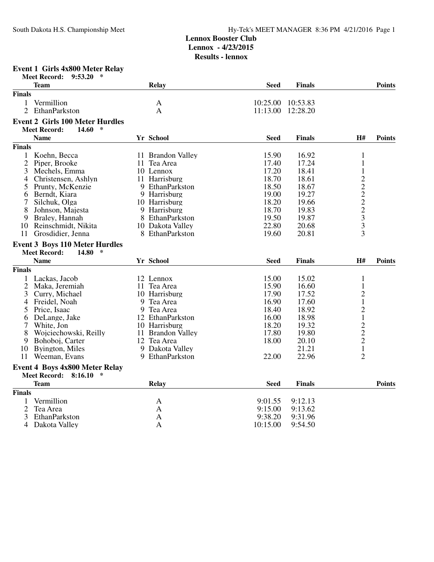**Results - lennox**

## **Event 1 Girls 4x800 Meter Relay**

|                | ∗<br><b>Meet Record:</b><br>9:53.20    |                   |                     |                    |                |               |
|----------------|----------------------------------------|-------------------|---------------------|--------------------|----------------|---------------|
|                | <b>Team</b>                            | <b>Relay</b>      | <b>Seed</b>         | <b>Finals</b>      |                | <b>Points</b> |
| <b>Finals</b>  |                                        |                   |                     |                    |                |               |
| 1              | Vermillion                             | $\mathbf{A}$      | 10:25.00            | 10:53.83           |                |               |
| $\overline{2}$ | EthanParkston                          | $\mathbf{A}$      | 11:13.00            | 12:28.20           |                |               |
|                | <b>Event 2 Girls 100 Meter Hurdles</b> |                   |                     |                    |                |               |
|                | $14.60*$<br><b>Meet Record:</b>        |                   |                     |                    |                |               |
|                | <b>Name</b>                            | Yr School         | <b>Seed</b>         | <b>Finals</b>      | H#             | <b>Points</b> |
|                |                                        |                   |                     |                    |                |               |
| <b>Finals</b>  |                                        |                   |                     |                    |                |               |
| 1              | Koehn, Becca                           | 11 Brandon Valley | 15.90               | 16.92              | $\mathbf{1}$   |               |
| $\overline{2}$ | Piper, Brooke                          | 11 Tea Area       | 17.40               | 17.24              | $\mathbf{1}$   |               |
| 3              | Mechels, Emma                          | 10 Lennox         | 17.20               | 18.41              | $\mathbf{1}$   |               |
| 4              | Christensen, Ashlyn                    | 11 Harrisburg     | 18.70               | 18.61              | $\overline{c}$ |               |
| 5              | Prunty, McKenzie                       | 9 EthanParkston   | 18.50               | 18.67              | 2222333        |               |
| 6              | Berndt, Kiara                          | 9 Harrisburg      | 19.00               | 19.27              |                |               |
| 7              | Silchuk, Olga                          | 10 Harrisburg     | 18.20               | 19.66              |                |               |
| 8              | Johnson, Majesta                       | 9 Harrisburg      | 18.70               | 19.83              |                |               |
| 9              | Braley, Hannah                         | 8 EthanParkston   | 19.50               | 19.87              |                |               |
| 10             | Reinschmidt, Nikita                    | 10 Dakota Valley  | 22.80               | 20.68              |                |               |
| 11             | Grosdidier, Jenna                      | 8 EthanParkston   | 19.60               | 20.81              |                |               |
|                |                                        |                   |                     |                    |                |               |
|                | <b>Event 3 Boys 110 Meter Hurdles</b>  |                   |                     |                    |                |               |
|                | <b>Meet Record:</b><br>∗<br>14.80      |                   |                     |                    |                |               |
|                |                                        |                   |                     |                    |                |               |
|                | <b>Name</b>                            | Yr School         | <b>Seed</b>         | <b>Finals</b>      | <b>H#</b>      | <b>Points</b> |
| <b>Finals</b>  |                                        |                   |                     |                    |                |               |
|                | 1 Lackas, Jacob                        | 12 Lennox         | 15.00               | 15.02              | $\mathbf{1}$   |               |
| $\overline{2}$ | Maka, Jeremiah                         | 11 Tea Area       | 15.90               | 16.60              | $\mathbf{1}$   |               |
| 3              | Curry, Michael                         | 10 Harrisburg     | 17.90               | 17.52              | $\overline{2}$ |               |
| 4              |                                        | 9<br>Tea Area     |                     |                    |                |               |
| 5              | Freidel, Noah                          |                   | 16.90               | 17.60              | $\mathbf{1}$   |               |
|                | Price, Isaac                           | 9 Tea Area        | 18.40               | 18.92              | $\overline{c}$ |               |
| 6              | DeLange, Jake                          | 12 EthanParkston  | 16.00               | 18.98              | $\mathbf{1}$   |               |
| 7              | White, Jon                             | 10 Harrisburg     | 18.20               | 19.32              |                |               |
| 8              | Wojciechowski, Reilly                  | 11 Brandon Valley | 17.80               | 19.80              |                |               |
| 9              | Bohoboj, Carter                        | 12 Tea Area       | 18.00               | 20.10              | $\frac{2}{2}$  |               |
| 10             | Byington, Miles                        | 9 Dakota Valley   |                     | 21.21              | $\mathbf 1$    |               |
| 11             | Weeman, Evans                          | 9 EthanParkston   | 22.00               | 22.96              | $\overline{2}$ |               |
|                | <b>Event 4 Boys 4x800 Meter Relay</b>  |                   |                     |                    |                |               |
|                | <b>Meet Record:</b><br>8:16.10<br>∗    |                   |                     |                    |                |               |
|                | <b>Team</b>                            |                   | <b>Seed</b>         | <b>Finals</b>      |                | <b>Points</b> |
|                |                                        | <b>Relay</b>      |                     |                    |                |               |
| <b>Finals</b>  |                                        |                   |                     |                    |                |               |
| 1              | Vermillion                             | A                 | 9:01.55             | 9:12.13            |                |               |
| 2              | Tea Area                               | A                 | 9:15.00             | 9:13.62            |                |               |
| 3<br>4         | EthanParkston<br>Dakota Valley         | A<br>$\mathbf{A}$ | 9:38.20<br>10:15.00 | 9:31.96<br>9:54.50 |                |               |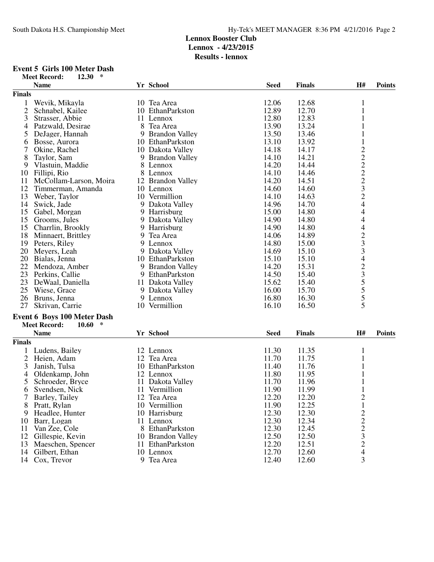# **Event 5 Girls 100 Meter Dash**<br>Meet Record: 12.30 \*

| $\ast$<br>12.30<br><b>Meet Record:</b> |                              |             |               |                          |               |
|----------------------------------------|------------------------------|-------------|---------------|--------------------------|---------------|
| <b>Name</b>                            | Yr School                    | <b>Seed</b> | <b>Finals</b> | H#                       | <b>Points</b> |
| <b>Finals</b>                          |                              |             |               |                          |               |
| 1<br>Wevik, Mikayla                    | 10 Tea Area                  | 12.06       | 12.68         | 1                        |               |
| 2<br>Schnabel, Kailee                  | 10 EthanParkston             | 12.89       | 12.70         | 1                        |               |
| 3<br>Strasser, Abbie                   | 11 Lennox                    | 12.80       | 12.83         | 1                        |               |
| 4<br>Patzwald, Desirae                 | 8 Tea Area                   | 13.90       | 13.24         |                          |               |
| 5<br>DeJager, Hannah                   | 9 Brandon Valley             | 13.50       | 13.46         | 1                        |               |
| Bosse, Aurora<br>6                     | 10 EthanParkston             | 13.10       | 13.92         | 1                        |               |
| 7<br>Okine, Rachel                     | 10 Dakota Valley             | 14.18       | 14.17         |                          |               |
| 8<br>Taylor, Sam                       |                              | 14.10       | 14.21         |                          |               |
| 9                                      | 9 Brandon Valley<br>8 Lennox | 14.20       | 14.44         | 2222324                  |               |
| Vlastuin, Maddie                       |                              |             |               |                          |               |
| 10 Fillipi, Rio                        | 8 Lennox                     | 14.10       | 14.46         |                          |               |
| 11<br>McCollam-Larson, Moira           | 12 Brandon Valley            | 14.20       | 14.51         |                          |               |
| 12<br>Timmerman, Amanda                | 10 Lennox                    | 14.60       | 14.60         |                          |               |
| 13<br>Weber, Taylor                    | 10 Vermillion                | 14.10       | 14.63         |                          |               |
| 14<br>Swick, Jade                      | 9 Dakota Valley              | 14.96       | 14.70         |                          |               |
| 15<br>Gabel, Morgan                    | 9 Harrisburg                 | 15.00       | 14.80         | $\overline{4}$           |               |
| 15<br>Grooms, Jules                    | 9 Dakota Valley              | 14.90       | 14.80         | 4                        |               |
| 15 Charrlin, Brookly                   | 9 Harrisburg                 | 14.90       | 14.80         | $\overline{\mathcal{L}}$ |               |
| 18 Minnaert, Brittley                  | 9 Tea Area                   | 14.06       | 14.89         | $\frac{2}{3}$            |               |
| 19 Peters, Riley                       | 9 Lennox                     | 14.80       | 15.00         |                          |               |
| 20<br>Meyers, Leah                     | 9 Dakota Valley              | 14.69       | 15.10         | $\overline{\mathbf{3}}$  |               |
| 20 Bialas, Jenna                       | 10 EthanParkston             | 15.10       | 15.10         | $\overline{\mathcal{A}}$ |               |
| 22 Mendoza, Amber                      | 9 Brandon Valley             | 14.20       | 15.31         |                          |               |
| 23 Perkins, Callie                     | 9 EthanParkston              | 14.50       | 15.40         | $\frac{2}{3}$ 5 5 5 5    |               |
| 23<br>DeWaal, Daniella                 | 11 Dakota Valley             | 15.62       | 15.40         |                          |               |
| 25<br>Wiese, Grace                     | 9 Dakota Valley              | 16.00       | 15.70         |                          |               |
| 26<br>Bruns, Jenna                     | 9 Lennox                     | 16.80       | 16.30         |                          |               |
| 27<br>Skrivan, Carrie                  | 10 Vermillion                | 16.10       | 16.50         | 5                        |               |
| <b>Event 6 Boys 100 Meter Dash</b>     |                              |             |               |                          |               |
| $10.60$ *<br><b>Meet Record:</b>       |                              |             |               |                          |               |
| <b>Name</b>                            | Yr School                    | <b>Seed</b> | <b>Finals</b> | H#                       | <b>Points</b> |
| <b>Finals</b>                          |                              |             |               |                          |               |
|                                        |                              |             |               |                          |               |
| Ludens, Bailey<br>1                    | 12 Lennox                    | 11.30       | 11.35         | 1                        |               |
| 2 Heien, Adam                          | 12 Tea Area                  | 11.70       | 11.75         |                          |               |
| 3<br>Janish, Tulsa                     | 10 EthanParkston             | 11.40       | 11.76         |                          |               |
| Oldenkamp, John<br>4                   | 12 Lennox                    | 11.80       | 11.95         | 1                        |               |
| 5<br>Schroeder, Bryce                  | 11 Dakota Valley             | 11.70       | 11.96         | $\mathbf{1}$             |               |
| 6 Svendsen, Nick                       | 11 Vermillion                | 11.90       | 11.99         | $\mathbf{1}$             |               |
| 7<br>Barley, Tailey                    | 12 Tea Area                  | 12.20       | 12.20         | $\frac{2}{1}$            |               |
| Pratt, Rylan<br>8.                     | 10 Vermillion                | 11.90       | 12.25         |                          |               |
| Headlee, Hunter<br>9                   | 10 Harrisburg                | 12.30       | 12.30         | $2223$<br>$2324$         |               |
| Barr, Logan<br>10                      | 11 Lennox                    | 12.30       | 12.34         |                          |               |
| 11<br>Van Zee, Cole                    | 8 EthanParkston              | 12.30       | 12.45         |                          |               |
| 12<br>Gillespie, Kevin                 | 10 Brandon Valley            | 12.50       | 12.50         |                          |               |
| 13<br>Maeschen, Spencer                | 11 EthanParkston             | 12.20       | 12.51         |                          |               |
| Gilbert, Ethan<br>14                   | 10 Lennox                    | 12.70       | 12.60         |                          |               |
| 14<br>Cox, Trevor                      | 9 Tea Area                   | 12.40       | 12.60         | 3                        |               |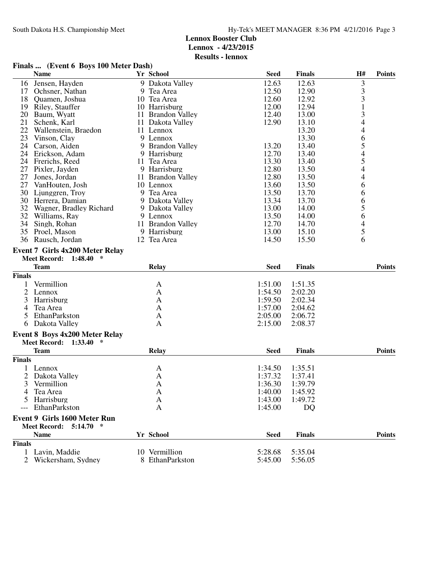### **Finals ... (Event 6 Boys 100 Meter Dash)**

|                | <b>Name</b>                                                                   | Yr School         | <b>Seed</b> | Finals        | H#                                    | <b>Points</b> |
|----------------|-------------------------------------------------------------------------------|-------------------|-------------|---------------|---------------------------------------|---------------|
| 16             | Jensen, Hayden                                                                | 9 Dakota Valley   | 12.63       | 12.63         | 3                                     |               |
| 17             | Ochsner, Nathan                                                               | 9 Tea Area        | 12.50       | 12.90         | 3                                     |               |
| 18             | Quamen, Joshua                                                                | 10 Tea Area       | 12.60       | 12.92         | $\frac{3}{1}$                         |               |
| 19             | Riley, Stauffer                                                               | 10 Harrisburg     | 12.00       | 12.94         |                                       |               |
| 20             | Baum, Wyatt                                                                   | 11 Brandon Valley | 12.40       | 13.00         | $\overline{\mathbf{3}}$               |               |
| 21             | Schenk, Karl                                                                  | 11 Dakota Valley  | 12.90       | 13.10         | $\overline{4}$                        |               |
| 22             | Wallenstein, Braedon                                                          | 11 Lennox         |             | 13.20         |                                       |               |
| 23             | Vinson, Clay                                                                  | 9 Lennox          |             | 13.30         |                                       |               |
| 24             | Carson, Aiden                                                                 | 9 Brandon Valley  | 13.20       | 13.40         | 465454                                |               |
| 24             | Erickson, Adam                                                                | 9 Harrisburg      | 12.70       | 13.40         |                                       |               |
| 24             | Frerichs, Reed                                                                | 11 Tea Area       | 13.30       | 13.40         |                                       |               |
| 27             | Pixler, Jayden                                                                | 9 Harrisburg      | 12.80       | 13.50         |                                       |               |
| 27             | Jones, Jordan                                                                 | 11 Brandon Valley | 12.80       | 13.50         | $\overline{\mathcal{L}}$              |               |
| 27             | VanHouten, Josh                                                               | 10 Lennox         | 13.60       | 13.50         | 6                                     |               |
| 30             | Ljunggren, Troy                                                               | 9 Tea Area        | 13.50       | 13.70         | 6                                     |               |
|                | 30 Herrera, Damian                                                            | 9 Dakota Valley   | 13.34       | 13.70         | $\begin{array}{c} 6 \\ 5 \end{array}$ |               |
| 32             | Wagner, Bradley Richard                                                       | 9 Dakota Valley   | 13.00       | 14.00         |                                       |               |
| 32             | Williams, Ray                                                                 | 9 Lennox          | 13.50       | 14.00         | 6                                     |               |
| 34             | Singh, Rohan                                                                  | 11 Brandon Valley | 12.70       | 14.70         | $rac{4}{5}$                           |               |
| 35             | Proel, Mason                                                                  | 9 Harrisburg      | 13.00       | 15.10         |                                       |               |
| 36             | Rausch, Jordan                                                                | 12 Tea Area       | 14.50       | 15.50         | 6                                     |               |
|                | <b>Event 7 Girls 4x200 Meter Relay</b><br><b>Meet Record:</b><br>1:48.40<br>∗ |                   |             |               |                                       |               |
|                | <b>Team</b>                                                                   | <b>Relay</b>      | <b>Seed</b> | <b>Finals</b> |                                       | <b>Points</b> |
| <b>Finals</b>  |                                                                               |                   |             |               |                                       |               |
|                | Vermillion                                                                    | $\mathbf{A}$      | 1:51.00     | 1:51.35       |                                       |               |
| $\overline{2}$ | Lennox                                                                        | A                 | 1:54.50     | 2:02.20       |                                       |               |
| 3              | Harrisburg                                                                    | A                 | 1:59.50     | 2:02.34       |                                       |               |
| $\overline{4}$ | Tea Area                                                                      | A                 | 1:57.00     | 2:04.62       |                                       |               |
| 5              | EthanParkston                                                                 | A                 | 2:05.00     | 2:06.72       |                                       |               |
| 6              | Dakota Valley                                                                 | A                 | 2:15.00     | 2:08.37       |                                       |               |
|                | <b>Event 8 Boys 4x200 Meter Relay</b><br><b>Meet Record:</b><br>$\ast$        |                   |             |               |                                       |               |
|                | 1:33.40<br><b>Team</b>                                                        | <b>Relay</b>      | <b>Seed</b> | <b>Finals</b> |                                       | <b>Points</b> |
| <b>Finals</b>  |                                                                               |                   |             |               |                                       |               |
|                |                                                                               |                   | 1:34.50     | 1:35.51       |                                       |               |
| $\overline{c}$ | Lennox<br>Dakota Valley                                                       | A<br>A            | 1:37.32     | 1:37.41       |                                       |               |
| 3              | Vermillion                                                                    | A                 | 1:36.30     | 1:39.79       |                                       |               |
| 4              | Tea Area                                                                      | A                 | 1:40.00     | 1:45.92       |                                       |               |
|                | Harrisburg                                                                    | A                 | 1:43.00     | 1:49.72       |                                       |               |
|                | EthanParkston                                                                 | A                 | 1:45.00     | DQ            |                                       |               |
|                |                                                                               |                   |             |               |                                       |               |
|                | <b>Event 9 Girls 1600 Meter Run</b>                                           |                   |             |               |                                       |               |
|                | <b>Meet Record: 5:14.70</b><br>$\ast$<br><b>Name</b>                          | Yr School         |             | <b>Finals</b> |                                       |               |
|                |                                                                               |                   | <b>Seed</b> |               |                                       | <b>Points</b> |
| <b>Finals</b>  |                                                                               |                   |             |               |                                       |               |
|                | 1 Lavin, Maddie                                                               | 10 Vermillion     | 5:28.68     | 5:35.04       |                                       |               |
|                | 2 Wickersham, Sydney                                                          | 8 EthanParkston   | 5:45.00     | 5:56.05       |                                       |               |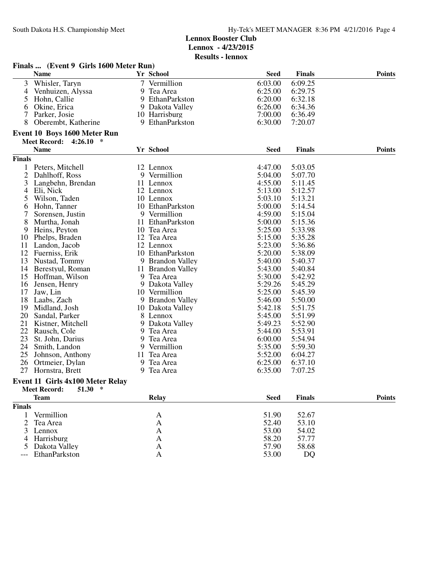|               | Finals  (Event 9 Girls 1600 Meter Run)            |   |                   |             |               |               |
|---------------|---------------------------------------------------|---|-------------------|-------------|---------------|---------------|
|               | <b>Name</b>                                       |   | Yr School         | <b>Seed</b> | <b>Finals</b> | <b>Points</b> |
| 3             | Whisler, Taryn                                    |   | 7 Vermillion      | 6:03.00     | 6:09.25       |               |
| 4             | Venhuizen, Alyssa                                 |   | 9 Tea Area        | 6:25.00     | 6:29.75       |               |
| 5             | Hohn, Callie                                      |   | 9 EthanParkston   | 6:20.00     | 6:32.18       |               |
| 6             | Okine, Erica                                      |   | 9 Dakota Valley   | 6:26.00     | 6:34.36       |               |
| 7             | Parker, Josie                                     |   | 10 Harrisburg     | 7:00.00     | 6:36.49       |               |
| 8             | Oberembt, Katherine                               |   | 9 EthanParkston   | 6:30.00     | 7:20.07       |               |
|               | <b>Event 10 Boys 1600 Meter Run</b>               |   |                   |             |               |               |
|               | <b>Meet Record: 4:26.10</b><br>$\ast$             |   |                   |             |               |               |
|               | <b>Name</b>                                       |   | Yr School         | <b>Seed</b> | <b>Finals</b> | <b>Points</b> |
| <b>Finals</b> |                                                   |   |                   |             |               |               |
|               | 1 Peters, Mitchell                                |   | 12 Lennox         | 4:47.00     | 5:03.05       |               |
| 2             | Dahlhoff, Ross                                    |   | 9 Vermillion      | 5:04.00     | 5:07.70       |               |
| 3             | Langbehn, Brendan                                 |   | 11 Lennox         | 4:55.00     | 5:11.45       |               |
| 4             | Eli, Nick                                         |   | 12 Lennox         | 5:13.00     | 5:12.57       |               |
| 5             | Wilson, Taden                                     |   | 10 Lennox         | 5:03.10     | 5:13.21       |               |
| 6             | Hohn, Tanner                                      |   | 10 EthanParkston  | 5:00.00     | 5:14.54       |               |
| 7             | Sorensen, Justin                                  |   | 9 Vermillion      | 4:59.00     | 5:15.04       |               |
| 8             | Murtha, Jonah                                     |   | 11 EthanParkston  | 5:00.00     | 5:15.36       |               |
| 9             | Heins, Peyton                                     |   | 10 Tea Area       | 5:25.00     | 5:33.98       |               |
| 10            | Phelps, Braden                                    |   | 12 Tea Area       | 5:15.00     | 5:35.28       |               |
| 11            | Landon, Jacob                                     |   | 12 Lennox         | 5:23.00     | 5:36.86       |               |
|               | 12 Fuerniss, Erik                                 |   | 10 EthanParkston  | 5:20.00     | 5:38.09       |               |
| 13            | Nustad, Tommy                                     |   | 9 Brandon Valley  | 5:40.00     | 5:40.37       |               |
| 14            | Berestyul, Roman                                  |   | 11 Brandon Valley | 5:43.00     | 5:40.84       |               |
| 15            | Hoffman, Wilson                                   |   | 9 Tea Area        | 5:30.00     | 5:42.92       |               |
| 16            | Jensen, Henry                                     |   | 9 Dakota Valley   | 5:29.26     | 5:45.29       |               |
| 17            | Jaw, Lin                                          |   | 10 Vermillion     | 5:25.00     | 5:45.39       |               |
| 18            | Laabs, Zach                                       |   | 9 Brandon Valley  | 5:46.00     | 5:50.00       |               |
| 19            | Midland, Josh                                     |   | 10 Dakota Valley  | 5:42.18     | 5:51.75       |               |
| 20            | Sandal, Parker                                    |   | 8 Lennox          | 5:45.00     | 5:51.99       |               |
| 21            | Kistner, Mitchell                                 |   | 9 Dakota Valley   | 5:49.23     | 5:52.90       |               |
| 22            | Rausch, Cole                                      |   | 9 Tea Area        | 5:44.00     | 5:53.91       |               |
| 23            | St. John, Darius                                  | 9 | Tea Area          | 6:00.00     | 5:54.94       |               |
| 24            | Smith, Landon                                     |   | 9 Vermillion      | 5:35.00     | 5:59.30       |               |
| 25            | Johnson, Anthony                                  |   | 11 Tea Area       | 5:52.00     | 6:04.27       |               |
| 26            | Ortmeier, Dylan                                   |   | 9 Tea Area        | 6:25.00     | 6:37.10       |               |
| 27            | Hornstra, Brett                                   |   | 9 Tea Area        | 6:35.00     | 7:07.25       |               |
|               | <b>Event 11 Girls 4x100 Meter Relay</b><br>$\ast$ |   |                   |             |               |               |
|               | <b>Meet Record:</b><br>51.30<br><b>Team</b>       |   | <b>Relay</b>      | <b>Seed</b> | <b>Finals</b> | <b>Points</b> |
| <b>Finals</b> |                                                   |   |                   |             |               |               |
| 1             | Vermillion                                        |   |                   | 51.90       | 52.67         |               |
| 2             | Tea Area                                          |   | A<br>A            | 52.40       | 53.10         |               |
| 3             | Lennox                                            |   | A                 | 53.00       | 54.02         |               |
| 4             | Harrisburg                                        |   |                   | 58.20       | 57.77         |               |
| 5             | Dakota Valley                                     |   | A                 | 57.90       | 58.68         |               |
| ---           | EthanParkston                                     |   | A<br>A            | 53.00       | DQ            |               |
|               |                                                   |   |                   |             |               |               |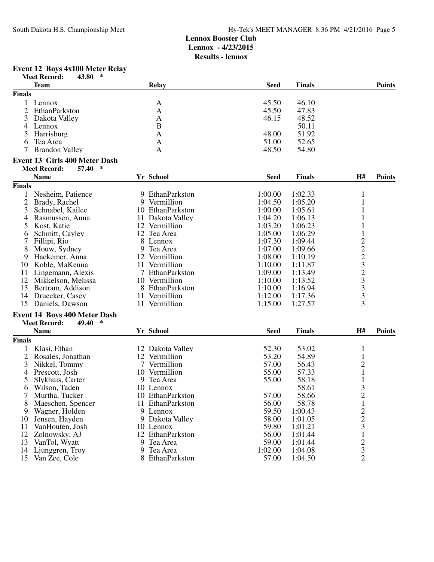#### **Event 12 Boys 4x100 Meter Relay**

|                | <b>Meet Record:</b><br>$\ast$<br>43.80 |   |                                   |             |               |                         |               |
|----------------|----------------------------------------|---|-----------------------------------|-------------|---------------|-------------------------|---------------|
|                | <b>Team</b>                            |   | <b>Relay</b>                      | <b>Seed</b> | <b>Finals</b> |                         | <b>Points</b> |
| <b>Finals</b>  |                                        |   |                                   |             |               |                         |               |
| $\mathbf{1}$   | Lennox                                 |   | A                                 | 45.50       | 46.10         |                         |               |
| 2              | EthanParkston                          |   | A                                 | 45.50       | 47.83         |                         |               |
| 3              | Dakota Valley                          |   | A                                 | 46.15       | 48.52         |                         |               |
| 4              | Lennox                                 |   | $\mathbf B$                       |             | 50.11         |                         |               |
| 5              | Harrisburg                             |   | A                                 | 48.00       | 51.92         |                         |               |
| 6              | Tea Area                               |   | A                                 | 51.00       | 52.65         |                         |               |
| 7              | <b>Brandon Valley</b>                  |   | A                                 | 48.50       | 54.80         |                         |               |
|                | <b>Event 13 Girls 400 Meter Dash</b>   |   |                                   |             |               |                         |               |
|                | <b>Meet Record:</b><br>∗<br>57.40      |   |                                   |             |               |                         |               |
|                | <b>Name</b>                            |   | Yr School                         | <b>Seed</b> | <b>Finals</b> | H#                      | <b>Points</b> |
| <b>Finals</b>  |                                        |   |                                   |             |               |                         |               |
| 1              | Nesheim, Patience                      |   | 9 EthanParkston                   | 1:00.00     | 1:02.33       | $\mathbf{1}$            |               |
| $\overline{c}$ | Brady, Rachel                          |   | 9 Vermillion                      | 1:04.50     | 1:05.20       | $\mathbf{1}$            |               |
| 3              | Schnabel, Kailee                       |   | 10 EthanParkston                  | 1:00.00     | 1:05.61       | $\mathbf{1}$            |               |
| 4              | Rasmussen, Anna                        |   | 11 Dakota Valley                  | 1:04.20     | 1:06.13       | $\mathbf{1}$            |               |
| 5              | Kost, Katie                            |   | 12 Vermillion                     | 1:03.20     | 1:06.23       |                         |               |
| 6              | Schmitt, Cayley                        |   | 12 Tea Area                       | 1:05.00     | 1:06.29       | $\mathbf{1}$            |               |
| 7              | Fillipi, Rio                           | 8 | Lennox                            | 1:07.30     | 1:09.44       |                         |               |
| 8              | Mouw, Sydney                           | 9 | Tea Area                          | 1:07.00     | 1:09.66       | $2223$<br>$233$<br>$33$ |               |
| 9              | Hackemer, Anna                         |   | 12 Vermillion                     | 1:08.00     | 1:10.19       |                         |               |
| 10             | Koble, MaKenna                         |   | 11 Vermillion                     | 1:10.00     | 1:11.87       |                         |               |
| 11             | Lingemann, Alexis                      |   | 7 EthanParkston                   | 1:09.00     | 1:13.49       |                         |               |
| 12             | Mikkelson, Melissa                     |   | 10 Vermillion                     | 1:10.00     | 1:13.52       |                         |               |
| 13             | Bertram, Addison                       |   | 8 EthanParkston                   | 1:10.00     | 1:16.94       |                         |               |
| 14             | Druecker, Casey                        |   | 11 Vermillion                     | 1:12.00     | 1:17.36       | $\overline{\mathbf{3}}$ |               |
| 15             | Daniels, Dawson                        |   | 11 Vermillion                     | 1:15.00     | 1:27.57       | 3                       |               |
|                | <b>Event 14 Boys 400 Meter Dash</b>    |   |                                   |             |               |                         |               |
|                | <b>Meet Record:</b><br>49.40<br>*      |   |                                   |             |               |                         |               |
|                | <b>Name</b>                            |   | Yr School                         | <b>Seed</b> | <b>Finals</b> | H#                      | <b>Points</b> |
| <b>Finals</b>  |                                        |   |                                   |             |               |                         |               |
|                |                                        |   |                                   | 52.30       | 53.02         |                         |               |
| 1              | Klasi, Ethan                           |   | 12 Dakota Valley<br>12 Vermillion |             |               | $\mathbf{1}$            |               |
| 2              | Rosales, Jonathan                      |   |                                   | 53.20       | 54.89         | $\mathbf{1}$            |               |
| 3              | Nikkel, Tommy                          |   | 7 Vermillion                      | 57.00       | 56.43         | $\overline{\mathbf{c}}$ |               |
| $\overline{4}$ | Prescott, Josh                         |   | 10 Vermillion                     | 55.00       | 57.33         | $\,1$                   |               |
| 5              | Slykhuis, Carter                       | 9 | Tea Area                          | 55.00       | 58.18         | $\mathbf{1}$            |               |
| 6              | Wilson, Taden                          |   | 10 Lennox                         |             | 58.61         | 3                       |               |
| 7              | Murtha, Tucker                         |   | 10 EthanParkston                  | 57.00       | 58.66         | $\overline{\mathbf{c}}$ |               |
| 8              | Maeschen, Spencer                      |   | 11 EthanParkston                  | 56.00       | 58.78         | $\mathbf{1}$            |               |
| 9              | Wagner, Holden                         |   | 9 Lennox                          | 59.50       | 1:00.43       |                         |               |
| 10             | Jensen, Hayden                         |   | 9 Dakota Valley                   | 58.00       | 1:01.05       | $\frac{2}{3}$           |               |
| 11             | VanHouten, Josh                        |   | 10 Lennox                         | 59.80       | 1:01.21       |                         |               |
| 12             | Zolnowsky, AJ                          |   | 12 EthanParkston                  | 56.00       | 1:01.44       | $\mathbf{1}$            |               |
| 13             | VanTol, Wyatt                          |   | 9 Tea Area                        | 59.00       | 1:01.44       | $\frac{2}{3}$           |               |
| 14             | Ljunggren, Troy                        |   | 9 Tea Area                        | 1:02.00     | 1:04.08       |                         |               |
| 15             | Van Zee, Cole                          |   | 8 EthanParkston                   | 57.00       | 1:04.50       | $\overline{2}$          |               |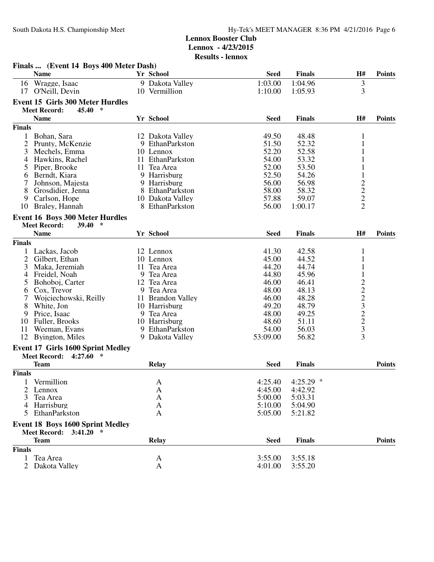|                | Finals  (Event 14 Boys 400 Meter Dash)           |     |                   |                   |                   |                                            |               |
|----------------|--------------------------------------------------|-----|-------------------|-------------------|-------------------|--------------------------------------------|---------------|
|                | <b>Name</b>                                      |     | Yr School         | <b>Seed</b>       | <b>Finals</b>     | H#                                         | <b>Points</b> |
| 16             | Wragge, Isaac                                    |     | 9 Dakota Valley   | 1:03.00           | 1:04.96           |                                            |               |
| 17             | O'Neill, Devin                                   |     | 10 Vermillion     | 1:10.00           | 1:05.93           | $\frac{3}{3}$                              |               |
|                | <b>Event 15 Girls 300 Meter Hurdles</b>          |     |                   |                   |                   |                                            |               |
|                | $\ast$<br>45.40<br><b>Meet Record:</b>           |     |                   |                   |                   |                                            |               |
|                | <b>Name</b>                                      |     | Yr School         | <b>Seed</b>       | <b>Finals</b>     | H#                                         | <b>Points</b> |
| <b>Finals</b>  |                                                  |     |                   |                   |                   |                                            |               |
| 1              | Bohan, Sara                                      |     | 12 Dakota Valley  | 49.50             | 48.48             | 1                                          |               |
| 2              | Prunty, McKenzie                                 |     | 9 EthanParkston   | 51.50             | 52.32             | 1                                          |               |
| 3              | Mechels, Emma                                    |     | 10 Lennox         | 52.20             | 52.58             | 1                                          |               |
| 4              | Hawkins, Rachel                                  | 11. | EthanParkston     | 54.00             | 53.32             | 1                                          |               |
| 5              | Piper, Brooke                                    | 11  | Tea Area          | 52.00             | 53.50             | $\mathbf{1}$                               |               |
| 6              | Berndt, Kiara                                    |     | 9 Harrisburg      | 52.50             | 54.26             | $\mathbf{1}$                               |               |
| 7              | Johnson, Majesta                                 |     | 9 Harrisburg      | 56.00             | 56.98             |                                            |               |
| 8              | Grosdidier, Jenna                                |     | 8 EthanParkston   | 58.00             | 58.32             |                                            |               |
| 9              | Carlson, Hope                                    |     | 10 Dakota Valley  | 57.88             | 59.07             |                                            |               |
| 10             | Braley, Hannah                                   |     | 8 EthanParkston   | 56.00             | 1:00.17           | $\begin{array}{c} 2 \\ 2 \\ 2 \end{array}$ |               |
|                |                                                  |     |                   |                   |                   |                                            |               |
|                | <b>Event 16 Boys 300 Meter Hurdles</b><br>$\ast$ |     |                   |                   |                   |                                            |               |
|                | <b>Meet Record:</b><br><b>39.40</b>              |     | <b>Yr School</b>  |                   |                   |                                            |               |
|                | <b>Name</b>                                      |     |                   | <b>Seed</b>       | <b>Finals</b>     | H#                                         | <b>Points</b> |
| <b>Finals</b>  |                                                  |     |                   |                   |                   |                                            |               |
| 1              | Lackas, Jacob                                    |     | 12 Lennox         | 41.30             | 42.58             | $\mathbf{1}$                               |               |
| $\overline{2}$ | Gilbert, Ethan                                   |     | 10 Lennox         | 45.00             | 44.52             | 1                                          |               |
| 3              | Maka, Jeremiah                                   |     | 11 Tea Area       | 44.20             | 44.74             | $\mathbf{1}$                               |               |
| 4              | Freidel, Noah                                    |     | 9 Tea Area        | 44.80             | 45.96             | $\mathbf{1}$                               |               |
| 5              | Bohoboj, Carter                                  |     | 12 Tea Area       | 46.00             | 46.41             | $2223$<br>$2323$                           |               |
| 6              | Cox, Trevor                                      |     | 9 Tea Area        | 48.00             | 48.13             |                                            |               |
| 7              | Wojciechowski, Reilly                            |     | 11 Brandon Valley | 46.00             | 48.28             |                                            |               |
| 8              | White, Jon                                       |     | 10 Harrisburg     | 49.20             | 48.79             |                                            |               |
| 9              | Price, Isaac                                     |     | 9 Tea Area        | 48.00             | 49.25             |                                            |               |
| 10             | Fuller, Brooks                                   |     | 10 Harrisburg     | 48.60             | 51.11             |                                            |               |
| 11<br>12       | Weeman, Evans                                    |     | 9 EthanParkston   | 54.00<br>53:09.00 | 56.03<br>56.82    | 3                                          |               |
|                | Byington, Miles                                  |     | 9 Dakota Valley   |                   |                   |                                            |               |
|                | <b>Event 17 Girls 1600 Sprint Medley</b>         |     |                   |                   |                   |                                            |               |
|                | <b>Meet Record:</b><br>4:27.60<br>$\ast$         |     |                   |                   |                   |                                            |               |
|                | <b>Team</b>                                      |     | <b>Relay</b>      | <b>Seed</b>       | <b>Finals</b>     |                                            | <b>Points</b> |
| <b>Finals</b>  |                                                  |     |                   |                   |                   |                                            |               |
|                | Vermillion                                       |     | A                 | 4:25.40           | 4:25.29<br>$\ast$ |                                            |               |
| 2              | Lennox                                           |     | A                 | 4:45.00           | 4:42.92           |                                            |               |
| 3              | Tea Area                                         |     | A                 | 5:00.00           | 5:03.31           |                                            |               |
| 4              | Harrisburg                                       |     | A                 | 5:10.00           | 5:04.90           |                                            |               |
| 5              | EthanParkston                                    |     | A                 | 5:05.00           | 5:21.82           |                                            |               |
|                | <b>Event 18 Boys 1600 Sprint Medley</b>          |     |                   |                   |                   |                                            |               |
|                | <b>Meet Record: 3:41.20</b>                      |     |                   |                   |                   |                                            |               |
|                | <b>Team</b>                                      |     | <b>Relay</b>      | <b>Seed</b>       | <b>Finals</b>     |                                            | <b>Points</b> |
| <b>Finals</b>  |                                                  |     |                   |                   |                   |                                            |               |
|                | Tea Area                                         |     | A                 | 3:55.00           | 3:55.18           |                                            |               |
| 2              | Dakota Valley                                    |     | $\mathbf{A}$      | 4:01.00           | 3:55.20           |                                            |               |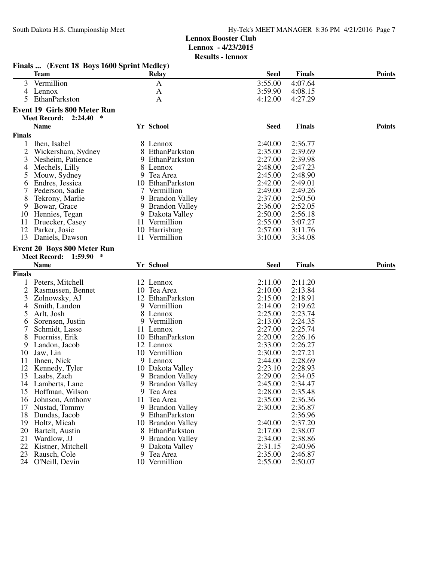**Results - lennox**

|                | Finals  (Event 18 Boys 1600 Sprint Medley) |    |                       |             |               |               |
|----------------|--------------------------------------------|----|-----------------------|-------------|---------------|---------------|
|                | <b>Team</b>                                |    | Relay                 | <b>Seed</b> | <b>Finals</b> | <b>Points</b> |
| 3              | Vermillion                                 |    | A                     | 3:55.00     | 4:07.64       |               |
| 4              | Lennox                                     |    | A                     | 3:59.90     | 4:08.15       |               |
| 5              | EthanParkston                              |    | A                     | 4:12.00     | 4:27.29       |               |
|                | <b>Event 19 Girls 800 Meter Run</b>        |    |                       |             |               |               |
|                | $\ast$<br><b>Meet Record:</b><br>2:24.40   |    |                       |             |               |               |
|                | <b>Name</b>                                |    | Yr School             | <b>Seed</b> | <b>Finals</b> | <b>Points</b> |
|                |                                            |    |                       |             |               |               |
| <b>Finals</b>  |                                            |    |                       |             |               |               |
| 1              | Ihen, Isabel                               |    | 8 Lennox              | 2:40.00     | 2:36.77       |               |
| $\overline{2}$ | Wickersham, Sydney                         |    | 8 EthanParkston       | 2:35.00     | 2:39.69       |               |
| 3              | Nesheim, Patience                          |    | 9 EthanParkston       | 2:27.00     | 2:39.98       |               |
| 4              | Mechels, Lilly                             |    | 8 Lennox              | 2:48.00     | 2:47.23       |               |
| 5              | Mouw, Sydney                               |    | 9 Tea Area            | 2:45.00     | 2:48.90       |               |
| 6              | Endres, Jessica                            |    | 10 EthanParkston      | 2:42.00     | 2:49.01       |               |
|                | Pederson, Sadie                            |    | 7 Vermillion          | 2:49.00     | 2:49.26       |               |
| 8              | Tekrony, Marlie                            |    | 9 Brandon Valley      | 2:37.00     | 2:50.50       |               |
| 9              | Bowar, Grace                               |    | 9 Brandon Valley      | 2:36.00     | 2:52.05       |               |
| 10             | Hennies, Tegan                             |    | 9 Dakota Valley       | 2:50.00     | 2:56.18       |               |
| 11             | Druecker, Casey                            |    | 11 Vermillion         | 2:55.00     | 3:07.27       |               |
|                | 12 Parker, Josie                           |    | 10 Harrisburg         | 2:57.00     | 3:11.76       |               |
| 13             | Daniels, Dawson                            |    | 11 Vermillion         | 3:10.00     | 3:34.08       |               |
|                | Event 20 Boys 800 Meter Run                |    |                       |             |               |               |
|                | <b>Meet Record:</b><br>1:59.90<br>$\ast$   |    |                       |             |               |               |
|                | <b>Name</b>                                |    | Yr School             | <b>Seed</b> | <b>Finals</b> | <b>Points</b> |
| <b>Finals</b>  |                                            |    |                       |             |               |               |
|                | Peters, Mitchell                           |    | 12 Lennox             | 2:11.00     | 2:11.20       |               |
| 2              | Rasmussen, Bennet                          |    | 10 Tea Area           | 2:10.00     | 2:13.84       |               |
| 3              | Zolnowsky, AJ                              |    | 12 EthanParkston      | 2:15.00     | 2:18.91       |               |
| 4              | Smith, Landon                              |    | 9 Vermillion          | 2:14.00     | 2:19.62       |               |
| 5              | Arlt, Josh                                 |    | 8 Lennox              | 2:25.00     | 2:23.74       |               |
| 6              | Sorensen, Justin                           |    | 9 Vermillion          | 2:13.00     | 2:24.35       |               |
|                | Schmidt, Lasse                             |    | 11 Lennox             | 2:27.00     | 2:25.74       |               |
| 8              | Fuerniss, Erik                             |    | 10 EthanParkston      | 2:20.00     | 2:26.16       |               |
| 9              | Landon, Jacob                              |    | 12 Lennox             | 2:33.00     | 2:26.27       |               |
| 10             | Jaw, Lin                                   |    | 10 Vermillion         | 2:30.00     | 2:27.21       |               |
| 11             | Ihnen, Nick                                |    | 9 Lennox              | 2:44.00     | 2:28.69       |               |
| 12             | Kennedy, Tyler                             |    | 10 Dakota Valley      | 2:23.10     | 2:28.93       |               |
| 13             | Laabs, Zach                                |    | 9 Brandon Valley      | 2:29.00     | 2:34.05       |               |
| 14             | Lamberts, Lane                             |    | 9 Brandon Valley      | 2:45.00     | 2:34.47       |               |
| 15             | Hoffman, Wilson                            | 9  | Tea Area              | 2:28.00     | 2:35.48       |               |
| 16             | Johnson, Anthony                           | 11 | Tea Area              | 2:35.00     | 2:36.36       |               |
| 17             | Nustad, Tommy                              |    | 9 Brandon Valley      | 2:30.00     | 2:36.87       |               |
| 18             | Dundas, Jacob                              |    | 9 EthanParkston       |             | 2:36.96       |               |
| 19             | Holtz, Micah                               |    | 10 Brandon Valley     | 2:40.00     | 2:37.20       |               |
| 20             | Bartelt, Austin                            |    | 8 EthanParkston       | 2:17.00     | 2:38.07       |               |
| 21             | Wardlow, JJ                                | 9  | <b>Brandon Valley</b> | 2:34.00     | 2:38.86       |               |
| 22             | Kistner, Mitchell                          |    | 9 Dakota Valley       | 2:31.15     | 2:40.96       |               |
| 23             | Rausch, Cole                               |    | 9 Tea Area            | 2:35.00     | 2:46.87       |               |
| 24             | O'Neill, Devin                             |    | 10 Vermillion         | 2:55.00     | 2:50.07       |               |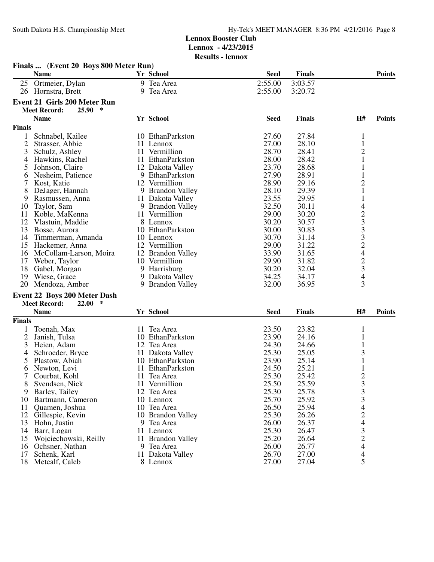|                | Finals  (Event 20 Boys 800 Meter Run)          |                   |             |               |                                                               |               |
|----------------|------------------------------------------------|-------------------|-------------|---------------|---------------------------------------------------------------|---------------|
|                | <b>Name</b>                                    | Yr School         | <b>Seed</b> | <b>Finals</b> |                                                               | <b>Points</b> |
| 25             | Ortmeier, Dylan                                | 9 Tea Area        | 2:55.00     | 3:03.57       |                                                               |               |
|                | 26 Hornstra, Brett                             | 9 Tea Area        | 2:55.00     | 3:20.72       |                                                               |               |
|                |                                                |                   |             |               |                                                               |               |
|                | <b>Event 21 Girls 200 Meter Run</b><br>25.90 * |                   |             |               |                                                               |               |
|                | <b>Meet Record:</b>                            |                   |             |               |                                                               |               |
|                | <b>Name</b>                                    | Yr School         | <b>Seed</b> | <b>Finals</b> | H#                                                            | <b>Points</b> |
| <b>Finals</b>  |                                                |                   |             |               |                                                               |               |
| $\mathbf{1}$   | Schnabel, Kailee                               | 10 EthanParkston  | 27.60       | 27.84         | $\mathbf 1$                                                   |               |
| $\overline{2}$ | Strasser, Abbie                                | 11 Lennox         | 27.00       | 28.10         | $\mathbf{1}$                                                  |               |
| 3              | Schulz, Ashley                                 | 11 Vermillion     | 28.70       | 28.41         | $\mathbf{2}$                                                  |               |
| 4              | Hawkins, Rachel                                | 11 EthanParkston  | 28.00       | 28.42         | 1                                                             |               |
| 5              | Johnson, Claire                                | 12 Dakota Valley  | 23.70       | 28.68         | $\mathbf{1}% \in\mathbb{Z}_{\geq0}\left[ \mathbf{1}% \right]$ |               |
| 6              | Nesheim, Patience                              | 9 EthanParkston   | 27.90       | 28.91         | $\mathbf{1}$                                                  |               |
| 7              | Kost, Katie                                    | 12 Vermillion     | 28.90       | 29.16         | $\overline{c}$                                                |               |
| 8              | DeJager, Hannah                                | 9 Brandon Valley  | 28.10       | 29.39         | 1                                                             |               |
| 9              | Rasmussen, Anna                                | 11 Dakota Valley  | 23.55       | 29.95         | 1                                                             |               |
| 10             | Taylor, Sam                                    | 9 Brandon Valley  | 32.50       | 30.11         | $\overline{4}$                                                |               |
| 11             | Koble, MaKenna                                 | 11 Vermillion     | 29.00       | 30.20         |                                                               |               |
| 12             | Vlastuin, Maddie                               | 8 Lennox          | 30.20       | 30.57         |                                                               |               |
| 13             | Bosse, Aurora                                  | 10 EthanParkston  | 30.00       | 30.83         |                                                               |               |
| 14             | Timmerman, Amanda                              | 10 Lennox         | 30.70       | 31.14         |                                                               |               |
| 15             | Hackemer, Anna                                 | 12 Vermillion     | 29.00       | 31.22         |                                                               |               |
| 16             | McCollam-Larson, Moira                         | 12 Brandon Valley | 33.90       | 31.65         |                                                               |               |
| 17             | Weber, Taylor                                  | 10 Vermillion     | 29.90       | 31.82         | 233324234                                                     |               |
| 18             | Gabel, Morgan                                  | 9 Harrisburg      | 30.20       | 32.04         |                                                               |               |
| 19             | Wiese, Grace                                   | 9 Dakota Valley   | 34.25       | 34.17         |                                                               |               |
| 20             | Mendoza, Amber                                 | 9 Brandon Valley  | 32.00       | 36.95         | 3                                                             |               |
|                | <b>Event 22 Boys 200 Meter Dash</b>            |                   |             |               |                                                               |               |
|                | <b>Meet Record:</b><br>$\ast$<br>22.00         |                   |             |               |                                                               |               |
|                | <b>Name</b>                                    | Yr School         | <b>Seed</b> | <b>Finals</b> | H#                                                            | <b>Points</b> |
| <b>Finals</b>  |                                                |                   |             |               |                                                               |               |
| 1              | Toenah, Max                                    | 11 Tea Area       | 23.50       | 23.82         | $\mathbf{1}$                                                  |               |
| $\overline{2}$ | Janish, Tulsa                                  | 10 EthanParkston  | 23.90       | 24.16         | $\mathbf{1}$                                                  |               |
| 3              | Heien, Adam                                    | 12 Tea Area       | 24.30       | 24.66         | 1                                                             |               |
| 4              | Schroeder, Bryce                               | 11 Dakota Valley  | 25.30       | 25.05         | 3                                                             |               |
| 5              | Plastow, Abiah                                 | 10 EthanParkston  | 23.90       | 25.14         | 1                                                             |               |
| 6              | Newton, Levi                                   | EthanParkston     | 24.50       | 25.21         | $\mathbf{1}% \in\mathbb{Z}_{\geq0}\left[ \mathbf{1}% \right]$ |               |
| 7              | Courbat, Kohl                                  | 11 Tea Area       | 25.30       | 25.42         | $\overline{2}$                                                |               |
| 8              | Svendsen, Nick                                 | 11 Vermillion     | 25.50       | 25.59         | 3                                                             |               |
| 9              | Barley, Tailey                                 | 12 Tea Area       | 25.30       | 25.78         |                                                               |               |
| 10             | Bartmann, Cameron                              | 10 Lennox         | 25.70       | 25.92         |                                                               |               |
| 11             | Quamen, Joshua                                 | 10 Tea Area       | 26.50       | 25.94         |                                                               |               |
| 12             | Gillespie, Kevin                               | 10 Brandon Valley | 25.30       | 26.26         |                                                               |               |
| 13             | Hohn, Justin                                   | 9 Tea Area        | 26.00       | 26.37         | 33424324                                                      |               |
| 14             | Barr, Logan                                    | 11 Lennox         | 25.30       | 26.47         |                                                               |               |
| 15             | Wojciechowski, Reilly                          | 11 Brandon Valley | 25.20       | 26.64         |                                                               |               |
| 16             | Ochsner, Nathan                                | 9 Tea Area        | 26.00       | 26.77         |                                                               |               |
| 17             | Schenk, Karl                                   | 11 Dakota Valley  | 26.70       | 27.00         | 4                                                             |               |
| 18             | Metcalf, Caleb                                 | 8 Lennox          | 27.00       | 27.04         | 5                                                             |               |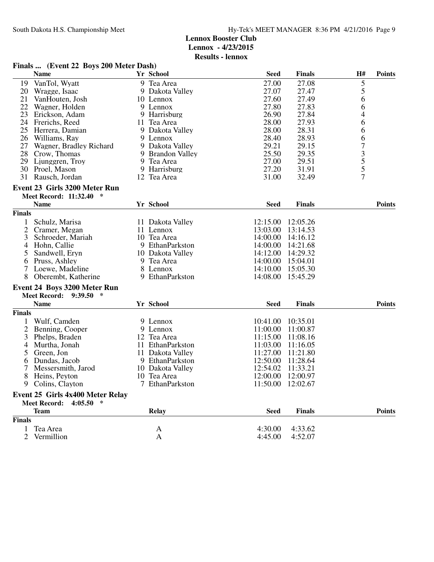|                | Finals  (Event 22 Boys 200 Meter Dash)                                        |                  |             |                   |                                            |               |
|----------------|-------------------------------------------------------------------------------|------------------|-------------|-------------------|--------------------------------------------|---------------|
|                | <b>Name</b>                                                                   | Yr School        | <b>Seed</b> | <b>Finals</b>     | H#                                         | <b>Points</b> |
| 19             | VanTol, Wyatt                                                                 | 9 Tea Area       | 27.00       | 27.08             | 5                                          |               |
| 20             | Wragge, Isaac                                                                 | 9 Dakota Valley  | 27.07       | 27.47             | 5                                          |               |
| 21             | VanHouten, Josh                                                               | 10 Lennox        | 27.60       | 27.49             | 6                                          |               |
| 22             | Wagner, Holden                                                                | 9 Lennox         | 27.80       | 27.83             | 6                                          |               |
| 23             | Erickson, Adam                                                                | 9 Harrisburg     | 26.90       | 27.84             | 4                                          |               |
|                | 24 Frerichs, Reed                                                             | 11 Tea Area      | 28.00       | 27.93             | 6                                          |               |
|                | 25 Herrera, Damian                                                            | 9 Dakota Valley  | 28.00       | 28.31             | 6                                          |               |
|                | 26 Williams, Ray                                                              | 9 Lennox         | 28.40       | 28.93             | 6                                          |               |
|                | 27 Wagner, Bradley Richard                                                    | 9 Dakota Valley  | 29.21       | 29.15             | 7                                          |               |
|                | 28 Crow, Thomas                                                               | 9 Brandon Valley | 25.50       | 29.35             |                                            |               |
| 29             | Ljunggren, Troy                                                               | 9 Tea Area       | 27.00       | 29.51             | $\begin{array}{c} 3 \\ 5 \\ 5 \end{array}$ |               |
| 30             | Proel, Mason                                                                  | 9 Harrisburg     | 27.20       | 31.91             |                                            |               |
| 31             | Rausch, Jordan                                                                | 12 Tea Area      | 31.00       | 32.49             | 7                                          |               |
|                | Event 23 Girls 3200 Meter Run                                                 |                  |             |                   |                                            |               |
|                | Meet Record: 11:32.40 *                                                       |                  |             |                   |                                            |               |
|                | <b>Name</b>                                                                   | Yr School        | <b>Seed</b> | <b>Finals</b>     |                                            | <b>Points</b> |
| <b>Finals</b>  |                                                                               |                  |             |                   |                                            |               |
| 1              | Schulz, Marisa                                                                | 11 Dakota Valley | 12:15.00    | 12:05.26          |                                            |               |
| 2              | Cramer, Megan                                                                 | 11 Lennox        | 13:03.00    | 13:14.53          |                                            |               |
| 3              | Schroeder, Mariah                                                             | 10 Tea Area      | 14:00.00    | 14:16.12          |                                            |               |
| $\overline{4}$ | Hohn, Callie                                                                  | 9 EthanParkston  | 14:00.00    | 14:21.68          |                                            |               |
| 5              | Sandwell, Eryn                                                                | 10 Dakota Valley | 14:12.00    | 14:29.32          |                                            |               |
| 6              | Pruss, Ashley                                                                 | 9 Tea Area       | 14:00.00    | 15:04.01          |                                            |               |
| 7              | Loewe, Madeline                                                               | 8 Lennox         | 14:10.00    | 15:05.30          |                                            |               |
| 8              | Oberembt, Katherine                                                           | 9 EthanParkston  | 14:08.00    | 15:45.29          |                                            |               |
|                | <b>Event 24 Boys 3200 Meter Run</b>                                           |                  |             |                   |                                            |               |
|                | Meet Record: 9:39.50 *                                                        |                  |             |                   |                                            |               |
|                | <b>Name</b>                                                                   | Yr School        | <b>Seed</b> | <b>Finals</b>     |                                            | <b>Points</b> |
| <b>Finals</b>  |                                                                               |                  |             |                   |                                            |               |
| 1              | Wulf, Camden                                                                  | 9 Lennox         | 10:41.00    | 10:35.01          |                                            |               |
| $\overline{2}$ | Benning, Cooper                                                               | 9 Lennox         | 11:00.00    | 11:00.87          |                                            |               |
| 3              | Phelps, Braden                                                                | 12 Tea Area      | 11:15.00    | 11:08.16          |                                            |               |
| 4              | Murtha, Jonah                                                                 | 11 EthanParkston | 11:03.00    | 11:16.05          |                                            |               |
| 5              | Green, Jon                                                                    | 11 Dakota Valley | 11:27.00    | 11:21.80          |                                            |               |
| 6              | Dundas, Jacob                                                                 | 9 EthanParkston  | 12:50.00    | 11:28.64          |                                            |               |
|                | Messersmith, Jarod                                                            | 10 Dakota Valley | 12:54.02    | 11:33.21          |                                            |               |
| 8              | Heins, Peyton                                                                 | 10 Tea Area      | 12:00.00    | 12:00.97          |                                            |               |
|                | 9 Colins, Clayton                                                             | 7 EthanParkston  |             | 11:50.00 12:02.67 |                                            |               |
|                |                                                                               |                  |             |                   |                                            |               |
|                | <b>Event 25 Girls 4x400 Meter Relay</b><br><b>Meet Record:</b><br>$4:05.50$ * |                  |             |                   |                                            |               |
|                | <b>Team</b>                                                                   | <b>Relay</b>     | <b>Seed</b> | <b>Finals</b>     |                                            | <b>Points</b> |
| <b>Finals</b>  |                                                                               |                  |             |                   |                                            |               |
| 1              | Tea Area                                                                      |                  | 4:30.00     | 4:33.62           |                                            |               |
| $\overline{2}$ | Vermillion                                                                    | A<br>A           | 4:45.00     | 4:52.07           |                                            |               |
|                |                                                                               |                  |             |                   |                                            |               |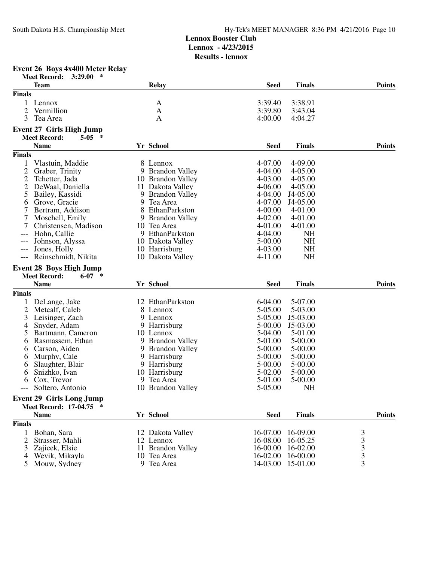**Results - lennox**

#### **Event 26 Boys 4x400 Meter Relay**

|                | <b>Meet Record:</b><br>$\ast$<br>3:29.00 |                   |             |               |                |
|----------------|------------------------------------------|-------------------|-------------|---------------|----------------|
|                | <b>Team</b>                              | <b>Relay</b>      | <b>Seed</b> | <b>Finals</b> | <b>Points</b>  |
| <b>Finals</b>  |                                          |                   |             |               |                |
| $\mathbf{1}$   | Lennox                                   | A                 | 3:39.40     | 3:38.91       |                |
| $\overline{2}$ | Vermillion                               | A                 | 3:39.80     | 3:43.04       |                |
| 3              | Tea Area                                 | A                 | 4:00.00     | 4:04.27       |                |
|                |                                          |                   |             |               |                |
|                | <b>Event 27 Girls High Jump</b>          |                   |             |               |                |
|                | <b>Meet Record:</b><br>$5-0.5$ *         |                   |             |               |                |
|                | <b>Name</b>                              | Yr School         | <b>Seed</b> | <b>Finals</b> | <b>Points</b>  |
| <b>Finals</b>  |                                          |                   |             |               |                |
| 1              | Vlastuin, Maddie                         | 8 Lennox          | 4-07.00     | 4-09.00       |                |
| $\mathfrak{2}$ | Graber, Trinity                          | 9 Brandon Valley  | 4-04.00     | 4-05.00       |                |
| 2              | Tchetter, Jada                           | 10 Brandon Valley | 4-03.00     | 4-05.00       |                |
| $\overline{c}$ | DeWaal, Daniella                         | 11 Dakota Valley  | 4-06.00     | 4-05.00       |                |
| 5              | Bailey, Kassidi                          | 9 Brandon Valley  | 4-04.00     | J4-05.00      |                |
| 6              | Grove, Gracie                            | 9 Tea Area        | 4-07.00     | J4-05.00      |                |
|                | Bertram, Addison                         | 8 EthanParkston   | $4 - 00.00$ | 4-01.00       |                |
| 7              | Moschell, Emily                          | 9 Brandon Valley  | $4 - 02.00$ | 4-01.00       |                |
| 7              | Christensen, Madison                     | 10 Tea Area       | 4-01.00     | 4-01.00       |                |
| ---            | Hohn, Callie                             | 9 EthanParkston   | 4-04.00     | <b>NH</b>     |                |
|                | Johnson, Alyssa                          | 10 Dakota Valley  | 5-00.00     | <b>NH</b>     |                |
|                | Jones, Holly                             | 10 Harrisburg     | 4-03.00     | <b>NH</b>     |                |
| ---            | Reinschmidt, Nikita                      | 10 Dakota Valley  | $4 - 11.00$ | <b>NH</b>     |                |
|                |                                          |                   |             |               |                |
|                | <b>Event 28 Boys High Jump</b>           |                   |             |               |                |
|                | <b>Meet Record:</b><br>$6-07$ *          |                   |             |               |                |
|                | <b>Name</b>                              | Yr School         | <b>Seed</b> | <b>Finals</b> | <b>Points</b>  |
| <b>Finals</b>  |                                          |                   |             |               |                |
| 1              | DeLange, Jake                            | 12 EthanParkston  | 6-04.00     | 5-07.00       |                |
| $\overline{2}$ | Metcalf, Caleb                           | 8 Lennox          | 5-05.00     | 5-03.00       |                |
| 3              | Leisinger, Zach                          | 9 Lennox          | 5-05.00     | J5-03.00      |                |
| 4              | Snyder, Adam                             | 9 Harrisburg      | 5-00.00     | J5-03.00      |                |
| 5              | Bartmann, Cameron                        | 10 Lennox         | 5-04.00     | 5-01.00       |                |
| 6              | Rasmassem, Ethan                         | 9 Brandon Valley  | 5-01.00     | 5-00.00       |                |
| 6              | Carson, Aiden                            | 9 Brandon Valley  | 5-00.00     | 5-00.00       |                |
| 6              | Murphy, Cale                             | 9 Harrisburg      | 5-00.00     | $5 - 00.00$   |                |
| 6              | Slaughter, Blair                         | 9 Harrisburg      | 5-00.00     | 5-00.00       |                |
| 6              | Snizhko, Ivan                            | 10 Harrisburg     | 5-02.00     | 5-00.00       |                |
| 6              | Cox, Trevor                              | 9 Tea Area        | 5-01.00     | 5-00.00       |                |
| ---            | Soltero, Antonio                         | 10 Brandon Valley | 5-05.00     | <b>NH</b>     |                |
|                |                                          |                   |             |               |                |
|                | <b>Event 29 Girls Long Jump</b>          |                   |             |               |                |
|                | <b>Meet Record: 17-04.75</b>             |                   |             |               |                |
|                | <b>Name</b>                              | Yr School         | <b>Seed</b> | <b>Finals</b> | <b>Points</b>  |
| <b>Finals</b>  |                                          |                   |             |               |                |
| 1              | Bohan, Sara                              | 12 Dakota Valley  | 16-07.00    | 16-09.00      | $\mathfrak{Z}$ |
| 2              | Strasser, Mahli                          | 12 Lennox         | 16-08.00    | 16-05.25      |                |
| 3              | Zajicek, Elsie                           | 11 Brandon Valley | 16-00.00    | 16-02.00      | $\frac{3}{3}$  |
| 4              | Wevik, Mikayla                           | 10 Tea Area       | 16-02.00    | 16-00.00      | 3              |
| 5              | Mouw, Sydney                             | 9 Tea Area        | 14-03.00    | 15-01.00      | 3              |
|                |                                          |                   |             |               |                |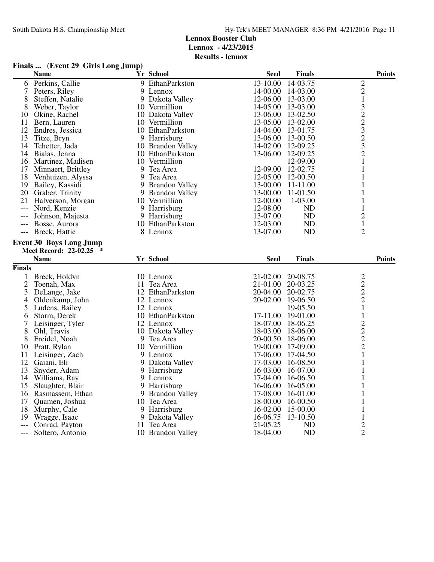**Finals ... (Event 29 Girls Long Jump)**

|                          | <b>Name</b>                                             |   | Yr School                        | <b>Seed</b>          | <b>Finals</b>   | <b>Points</b>                              |
|--------------------------|---------------------------------------------------------|---|----------------------------------|----------------------|-----------------|--------------------------------------------|
| 6                        | Perkins, Callie                                         | 9 | EthanParkston                    | 13-10.00             | 14-03.75        | $\overline{2}$                             |
| 7                        | Peters, Riley                                           |   | 9 Lennox                         | 14-00.00             | 14-03.00        | $\overline{c}$                             |
| 8                        | Steffen, Natalie                                        |   | 9 Dakota Valley                  | 12-06.00             | 13-03.00        | $\mathbf{1}$                               |
| 8                        | Weber, Taylor                                           |   | 10 Vermillion                    | 14-05.00             | 13-03.00        |                                            |
| 10                       | Okine, Rachel                                           |   | 10 Dakota Valley                 | 13-06.00             | 13-02.50        |                                            |
| 11                       | Bern, Lauren                                            |   | 10 Vermillion                    | 13-05.00             | 13-02.00        |                                            |
| 12                       | Endres, Jessica                                         |   | 10 EthanParkston                 | 14-04.00             | 13-01.75        |                                            |
| 13                       | Titze, Bryn                                             |   | 9 Harrisburg                     | 13-06.00             | 13-00.50        |                                            |
| 14                       | Tchetter, Jada                                          |   | 10 Brandon Valley                | 14-02.00             | 12-09.25        | $3223$<br>$323$                            |
| 14                       | Bialas, Jenna                                           |   | 10 EthanParkston                 | 13-06.00             | 12-09.25        | $\overline{2}$                             |
|                          | 16 Martinez, Madisen                                    |   | 10 Vermillion                    |                      | 12-09.00        | 1                                          |
| 17                       | Minnaert, Brittley                                      |   | 9 Tea Area                       | 12-09.00             | 12-02.75        | 1                                          |
| 18                       | Venhuizen, Alyssa                                       |   | 9 Tea Area                       | 12-05.00             | 12-00.50        | 1                                          |
| 19                       | Bailey, Kassidi                                         |   | 9 Brandon Valley                 | 13-00.00             | 11-11.00        | 1                                          |
|                          | 20 Graber, Trinity                                      |   | 9 Brandon Valley                 | 13-00.00             | 11-01.50        | 1                                          |
| 21                       | Halverson, Morgan                                       |   | 10 Vermillion                    | 12-00.00             | $1-03.00$       | 1                                          |
| $\overline{\phantom{a}}$ | Nord, Kenzie                                            |   | 9 Harrisburg                     | 12-08.00             | ND              | $\mathbf{1}$                               |
|                          | Johnson, Majesta                                        |   | 9 Harrisburg                     | 13-07.00             | <b>ND</b>       | $\overline{2}$                             |
| $---$                    | Bosse, Aurora                                           |   | 10 EthanParkston                 | 12-03.00             | <b>ND</b>       | $\mathbf{1}$                               |
| $---$                    | Breck, Hattie                                           |   | 8 Lennox                         | 13-07.00             | <b>ND</b>       | $\overline{2}$                             |
|                          | <b>Event 30 Boys Long Jump</b><br>Meet Record: 22-02.25 |   |                                  |                      |                 |                                            |
|                          |                                                         |   |                                  |                      |                 |                                            |
|                          | <b>Name</b>                                             |   | Yr School                        | <b>Seed</b>          | <b>Finals</b>   | <b>Points</b>                              |
| <b>Finals</b>            |                                                         |   |                                  |                      |                 |                                            |
| $\mathbf{1}$             | Breck, Holdyn                                           |   | 10 Lennox                        | 21-02.00             | 20-08.75        |                                            |
| $\overline{2}$           | Toenah, Max                                             |   | 11 Tea Area                      | 21-01.00             | 20-03.25        |                                            |
| 3                        | DeLange, Jake                                           |   | 12 EthanParkston                 | 20-04.00             | 20-02.75        | $\frac{2}{2}$                              |
| 4                        | Oldenkamp, John                                         |   | 12 Lennox                        | 20-02.00             | 19-06.50        | $\overline{2}$                             |
| 5                        | Ludens, Bailey                                          |   | 12 Lennox                        |                      | 19-05.50        | $\mathbf{1}$                               |
| 6                        | Storm, Derek                                            |   | 10 EthanParkston                 | 17-11.00             | 19-01.00        | $\mathbf 1$                                |
| 7                        | Leisinger, Tyler                                        |   | 12 Lennox                        | 18-07.00             | 18-06.25        |                                            |
| 8                        | Ohl, Travis                                             |   | 10 Dakota Valley                 | 18-03.00             | 18-06.00        |                                            |
| 8                        | Freidel, Noah                                           |   | 9 Tea Area                       | 20-00.50             | 18-06.00        |                                            |
| 10                       | Pratt, Rylan                                            |   | 10 Vermillion                    | 19-00.00             | 17-09.00        | $\begin{array}{c} 2 \\ 2 \\ 2 \end{array}$ |
| 11                       | Leisinger, Zach                                         |   | 9 Lennox                         | 17-06.00             | 17-04.50        | $\mathbf{1}$                               |
| 12                       | Gaiani, Eli                                             | 9 | Dakota Valley                    | 17-03.00             | 16-08.50        | 1                                          |
| 13                       | Snyder, Adam                                            |   | 9 Harrisburg                     | 16-03.00             | 16-07.00        | 1                                          |
| 14                       | Williams, Ray                                           |   | 9 Lennox                         | 17-04.00             | 16-06.50        | 1                                          |
| 15                       | Slaughter, Blair                                        |   | 9 Harrisburg                     | 16-06.00             | 16-05.00        |                                            |
| 16                       | Rasmassem, Ethan                                        |   | 9 Brandon Valley                 | 17-08.00             | 16-01.00        | 1                                          |
| 17                       | Quamen, Joshua                                          |   | 10 Tea Area                      | 18-00.00             | 16-00.50        |                                            |
| 18                       | Murphy, Cale                                            |   | 9 Harrisburg                     | 16-02.00             | 15-00.00        | 1                                          |
| 19                       | Wragge, Isaac                                           |   | 9 Dakota Valley                  | 16-06.75             | 13-10.50        | $\mathbf{1}$                               |
| $\overline{a}$           | Conrad, Payton<br>Soltero, Antonio                      |   | 11 Tea Area<br>10 Brandon Valley | 21-05.25<br>18-04.00 | ND<br><b>ND</b> | $\overline{c}$<br>$\overline{2}$           |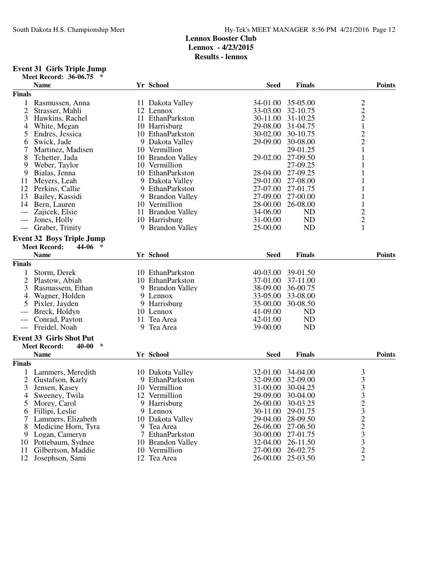### **Event 31 Girls Triple Jump**

| Meet Record: 36-06.75 * |  |  |
|-------------------------|--|--|
|-------------------------|--|--|

|                     | <b>Name</b>                       |   | Yr School         | <b>Seed</b> | <b>Finals</b>  | <b>Points</b>                                   |
|---------------------|-----------------------------------|---|-------------------|-------------|----------------|-------------------------------------------------|
| <b>Finals</b>       |                                   |   |                   |             |                |                                                 |
| 1                   | Rasmussen, Anna                   |   | 11 Dakota Valley  | 34-01.00    | 35-05.00       |                                                 |
| $\overline{2}$      | Strasser, Mahli                   |   | 12 Lennox         | 33-03.00    | 32-10.75       | $\frac{2}{2}$                                   |
| 3                   | Hawkins, Rachel                   |   | 11 EthanParkston  | 30-11.00    | 31-10.25       |                                                 |
| 4                   | White, Megan                      |   | 10 Harrisburg     | 29-08.00    | 31-04.75       | $\mathbf 1$                                     |
| 5                   | Endres, Jessica                   |   | 10 EthanParkston  | 30-02.00    | 30-10.75       |                                                 |
| 6                   | Swick, Jade                       |   | 9 Dakota Valley   | 29-09.00    | 30-08.00       | $\frac{2}{2}$                                   |
| 7                   | Martinez, Madisen                 |   | 10 Vermillion     |             | 29-01.25       | $\mathbf{1}$                                    |
| 8                   | Tchetter, Jada                    |   | 10 Brandon Valley | 29-02.00    | 27-09.50       | 1                                               |
| 9                   | Weber, Taylor                     |   | 10 Vermillion     |             | 27-09.25       | 1                                               |
|                     |                                   |   | 10 EthanParkston  | 28-04.00    | 27-09.25       |                                                 |
| 9                   | Bialas, Jenna                     |   |                   |             |                | 1                                               |
| 11                  | Meyers, Leah                      |   | 9 Dakota Valley   | 29-01.00    | 27-08.00       | $\mathbf{1}$                                    |
| 12                  | Perkins, Callie                   |   | 9 EthanParkston   | 27-07.00    | 27-01.75       | $\mathbf{1}$                                    |
| 13                  | Bailey, Kassidi                   |   | 9 Brandon Valley  | 27-09.00    | 27-00.00       | $\mathbf{1}$                                    |
| 14                  | Bern, Lauren                      |   | 10 Vermillion     | 28-00.00    | 26-08.00       | $\mathbf{1}$                                    |
| $---$               | Zajicek, Elsie                    |   | 11 Brandon Valley | 34-06.00    | ND             | $\overline{c}$                                  |
| ---                 | Jones, Holly                      |   | 10 Harrisburg     | 31-00.00    | <b>ND</b>      | $\overline{c}$                                  |
| ---                 | Graber, Trinity                   |   | 9 Brandon Valley  | 25-00.00    | <b>ND</b>      | $\mathbf{1}$                                    |
|                     | <b>Event 32 Boys Triple Jump</b>  |   |                   |             |                |                                                 |
|                     | <b>Meet Record:</b><br>44-06<br>∗ |   |                   |             |                |                                                 |
|                     | <b>Name</b>                       |   | Yr School         | <b>Seed</b> | <b>Finals</b>  | <b>Points</b>                                   |
|                     |                                   |   |                   |             |                |                                                 |
| <b>Finals</b>       |                                   |   |                   |             |                |                                                 |
| 1                   | Storm, Derek                      |   | 10 EthanParkston  | 40-03.00    | 39-01.50       |                                                 |
| $\overline{2}$      | Plastow, Abiah                    |   | 10 EthanParkston  | 37-01.00    | 37-11.00       |                                                 |
| 3                   | Rasmassem, Ethan                  |   | 9 Brandon Valley  | 38-09.00    | 36-00.75       |                                                 |
| 4                   | Wagner, Holden                    |   | 9 Lennox          | 33-05.00    | 33-08.00       |                                                 |
| 5                   | Pixler, Jayden                    |   | 9 Harrisburg      | 35-00.00    | 30-08.50       |                                                 |
| $---$               | Breck, Holdyn                     |   | 10 Lennox         | 41-09.00    | N <sub>D</sub> |                                                 |
| $---$               | Conrad, Payton                    |   | 11 Tea Area       | 42-01.00    | <b>ND</b>      |                                                 |
| $\qquad \qquad - -$ | Freidel, Noah                     |   | 9 Tea Area        | 39-00.00    | <b>ND</b>      |                                                 |
|                     | <b>Event 33 Girls Shot Put</b>    |   |                   |             |                |                                                 |
|                     | $\ast$                            |   |                   |             |                |                                                 |
|                     | <b>Meet Record:</b><br>40-00      |   |                   |             |                |                                                 |
|                     | <b>Name</b>                       |   | Yr School         | <b>Seed</b> | <b>Finals</b>  | <b>Points</b>                                   |
| <b>Finals</b>       |                                   |   |                   |             |                |                                                 |
|                     | Lammers, Meredith                 |   | 10 Dakota Valley  | 32-01.00    | 34-04.00       |                                                 |
| $\overline{c}$      | Gustafson, Karly                  |   | 9 EthanParkston   | 32-09.00    | 32-09.00       |                                                 |
| 3                   | Jensen, Kasey                     |   | 10 Vermillion     | 31-00.00    | 30-04.25       | $\begin{array}{c} 3 \\ 3 \\ 3 \\ 3 \end{array}$ |
| 4                   | Sweeney, Twila                    |   | 12 Vermillion     | 29-09.00    | 30-04.00       |                                                 |
| $\mathcal{L}$       | Morey, Carol                      |   | 9 Harrisburg      | 26-00.00    | 30-03.25       | 2                                               |
| 6                   | Fillipi, Leslie                   |   | 9 Lennox          | 30-11.00    | 29-01.75       |                                                 |
| 7                   | Lammers, Elizabeth                |   | 10 Dakota Valley  | 29-04.00    | 28-09.50       |                                                 |
| 8                   | Medicine Horn, Tyra               |   | 9 Tea Area        | 26-06.00    | 27-06.50       |                                                 |
| 9                   | Logan, Cameryn                    | 7 | EthanParkston     | 30-00.00    | 27-01.75       |                                                 |
| 10                  | Pottebaum, Sydnee                 |   | 10 Brandon Valley | 32-04.00    | 26-11.50       |                                                 |
| 11                  | Gilbertson, Maddie                |   | 10 Vermillion     | 27-00.00    | 26-02.75       |                                                 |
| 12                  | Josephson, Sami                   |   | 12 Tea Area       | 26-00.00    | 25-03.50       | $32233$<br>$3322$                               |
|                     |                                   |   |                   |             |                |                                                 |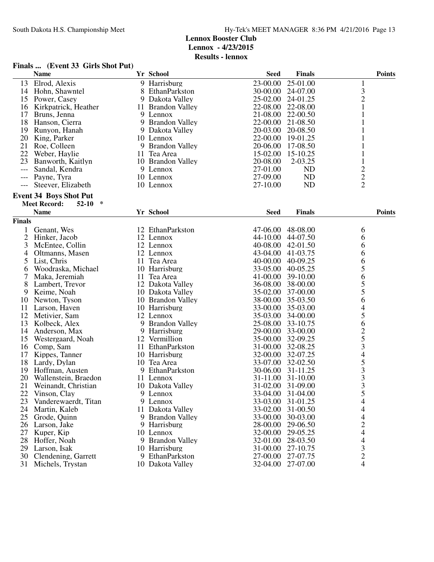**Finals ... (Event 33 Girls Shot Put)**

|               | <b>Name</b>                                                            | Yr School         | <b>Seed</b>       | <b>Finals</b>     | <b>Points</b>            |
|---------------|------------------------------------------------------------------------|-------------------|-------------------|-------------------|--------------------------|
| 13            | Elrod, Alexis                                                          | 9 Harrisburg      | 23-00.00          | 25-01.00          | 1                        |
| 14            | Hohn, Shawntel                                                         | 8 EthanParkston   | 30-00.00          | 24-07.00          | $\mathfrak{Z}$           |
| 15            | Power, Casey                                                           | 9 Dakota Valley   | 25-02.00          | 24-01.25          | $\overline{c}$           |
| 16            | Kirkpatrick, Heather                                                   | 11 Brandon Valley | 22-08.00          | 22-08.00          | 1                        |
| 17            | Bruns, Jenna                                                           | 9 Lennox          |                   | 21-08.00 22-00.50 |                          |
| 18            | Hanson, Cierra                                                         | 9 Brandon Valley  | 22-00.00          | 21-08.50          |                          |
| 19            | Runyon, Hanah                                                          | 9 Dakota Valley   | 20-03.00          | 20-08.50          |                          |
| 20            | King, Parker                                                           | 10 Lennox         | 22-00.00 19-01.25 |                   |                          |
| 21            | Roe, Colleen                                                           | 9 Brandon Valley  |                   | 20-06.00 17-08.50 |                          |
| 22            | Weber, Haylie                                                          | 11 Tea Area       | 15-02.00          | 15-10.25          | 1                        |
| 23            | Banworth, Kaitlyn                                                      | 10 Brandon Valley | 20-08.00          | 2-03.25           |                          |
| $---$         | Sandal, Kendra                                                         | 9 Lennox          | 27-01.00          | ND                | $\overline{\mathbf{c}}$  |
|               | Payne, Tyra                                                            | 10 Lennox         | 27-09.00          | ND                | $\overline{c}$           |
| $---$         | Steever, Elizabeth                                                     | 10 Lennox         | 27-10.00          | ND                | $\overline{2}$           |
|               |                                                                        |                   |                   |                   |                          |
|               | <b>Event 34 Boys Shot Put</b><br>∗<br><b>Meet Record:</b><br>$52 - 10$ |                   |                   |                   |                          |
|               | <b>Name</b>                                                            | Yr School         | <b>Seed</b>       | <b>Finals</b>     | <b>Points</b>            |
| <b>Finals</b> |                                                                        |                   |                   |                   |                          |
| $\mathbf{1}$  | Genant, Wes                                                            | 12 EthanParkston  | 47-06.00          | 48-08.00          |                          |
| 2             | Hinker, Jacob                                                          | 12 Lennox         | 44-10.00          | 44-07.50          | 6                        |
|               | McEntee, Collin                                                        |                   |                   |                   | 6                        |
| 3             |                                                                        | 12 Lennox         | 40-08.00          | 42-01.50          | 6                        |
| 4             | Oltmanns, Masen                                                        | 12 Lennox         | 43-04.00 41-03.75 |                   | 6                        |
| 5             | List, Chris                                                            | 11 Tea Area       | 40-00.00 40-09.25 |                   | 6                        |
| 6             | Woodraska, Michael                                                     | 10 Harrisburg     |                   | 33-05.00 40-05.25 | 5                        |
| 7             | Maka, Jeremiah                                                         | 11 Tea Area       | 41-00.00 39-10.00 |                   | $\frac{6}{5}$            |
| 8             | Lambert, Trevor                                                        | 12 Dakota Valley  |                   | 36-08.00 38-00.00 |                          |
| 9             | Keime, Noah                                                            | 10 Dakota Valley  | 35-02.00          | 37-00.00          | 5                        |
| 10            | Newton, Tyson                                                          | 10 Brandon Valley |                   | 38-00.00 35-03.50 | 6                        |
| 11            | Larson, Haven                                                          | 10 Harrisburg     |                   | 33-00.00 35-03.00 | $\overline{\mathcal{L}}$ |
| 12            | Metivier, Sam                                                          | 12 Lennox         |                   | 35-03.00 34-00.00 | 5                        |
| 13            | Kolbeck, Alex                                                          | 9 Brandon Valley  | 25-08.00 33-10.75 |                   | 6                        |
| 14            | Anderson, Max                                                          | 9 Harrisburg      | 29-00.00          | 33-00.00          |                          |
| 15            | Westergaard, Noah                                                      | 12 Vermillion     | 35-00.00          | 32-09.25          |                          |
| 16            | Comp, Sam                                                              | 11 EthanParkston  |                   | 31-00.00 32-08.25 | $\frac{2}{5}$ 3 4        |
| 17            | Kippes, Tanner                                                         | 10 Harrisburg     |                   | 32-00.00 32-07.25 |                          |
| 18            | Lardy, Dylan                                                           | 10 Tea Area       |                   | 33-07.00 32-02.50 |                          |
| 19            | Hoffman, Austen                                                        | 9 EthanParkston   |                   | 30-06.00 31-11.25 | $\frac{5}{3}$            |
| 20            | Wallenstein, Braedon                                                   | 11 Lennox         |                   | 31-11.00 31-10.00 |                          |
| 21            | Weinandt, Christian                                                    | 10 Dakota Valley  |                   | 31-02.00 31-09.00 | $\overline{3}$           |
| 22            | Vinson, Clay                                                           | 9 Lennox          |                   | 33-04.00 31-04.00 | 5                        |
| 23            | Vanderewaerdt, Titan                                                   | 9 Lennox          | 33-03.00          | 31-01.25          | $\overline{4}$           |
| 24            | Martin, Kaleb                                                          | 11 Dakota Valley  | 33-02.00          | 31-00.50          | $\overline{4}$           |
| 25            | Grode, Quinn                                                           | 9 Brandon Valley  | 33-00.00          | 30-03.00          |                          |
| 26            | Larson, Jake                                                           | 9 Harrisburg      | 28-00.00          | 29-06.50          |                          |
| 27            | Kuper, Kip                                                             | 10 Lennox         | 32-00.00          | 29-05.25          |                          |
| 28            | Hoffer, Noah                                                           | 9 Brandon Valley  | 32-01.00          | 28-03.50          | $4244$<br>$43$           |
| 29            | Larson, Isak                                                           | 10 Harrisburg     | 31-00.00          | 27-10.75          |                          |
| 30            | Clendening, Garrett                                                    | 9 EthanParkston   | 27-00.00          | 27-07.75          | $\overline{c}$           |
| 31            | Michels, Trystan                                                       | 10 Dakota Valley  | 32-04.00          | 27-07.00          | 4                        |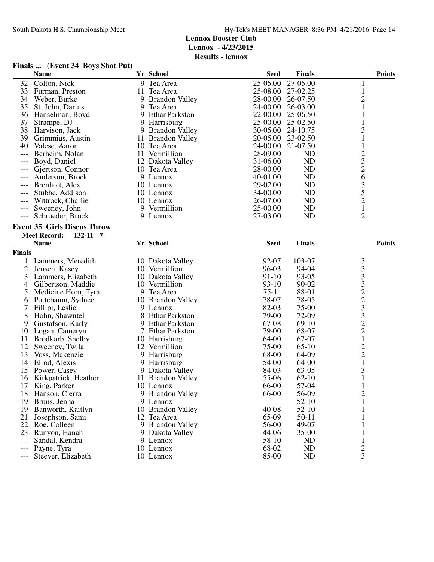**Results - lennox**

### **Finals ... (Event 34 Boys Shot Put)**

|                | <b>Name</b>                             |   | Yr School             | <b>Seed</b> | <b>Finals</b> | <b>Points</b>                                   |
|----------------|-----------------------------------------|---|-----------------------|-------------|---------------|-------------------------------------------------|
| 32             | Colton, Nick                            |   | 9 Tea Area            | 25-05.00    | 27-05.00      | 1                                               |
| 33             | Furman, Preston                         |   | 11 Tea Area           | 25-08.00    | 27-02.25      | $\mathbf{1}$                                    |
| 34             | Weber, Burke                            | 9 | <b>Brandon Valley</b> | 28-00.00    | 26-07.50      | $\overline{c}$                                  |
| 35             | St. John, Darius                        | 9 | Tea Area              | 24-00.00    | 26-03.00      | $\mathbf{1}$                                    |
| 36             | Hanselman, Boyd                         | 9 | EthanParkston         | 22-00.00    | 25-06.50      | 1                                               |
| 37             | Strampe, DJ                             |   | 9 Harrisburg          | 25-00.00    | 25-02.50      | 1                                               |
| 38             | Harvison, Jack                          |   | 9 Brandon Valley      | 30-05.00    | 24-10.75      | 3                                               |
| 39             | Grimmius, Austin                        |   | 11 Brandon Valley     | 20-05.00    | 23-02.50      | $\mathbf{1}$                                    |
| 40             | Valese, Aaron                           |   | 10 Tea Area           | 24-00.00    | 21-07.50      | $\mathbf{1}$                                    |
| $---$          | Berheim, Nolan                          |   | 11 Vermillion         | 28-09.00    | <b>ND</b>     |                                                 |
| ---            | Boyd, Daniel                            |   | 12 Dakota Valley      | 31-06.00    | <b>ND</b>     | $\begin{array}{c} 2 \\ 3 \\ 2 \\ 6 \end{array}$ |
|                | Gjertson, Connor                        |   | 10 Tea Area           | 28-00.00    | <b>ND</b>     |                                                 |
|                | Anderson, Brock                         |   | 9 Lennox              | 40-01.00    | <b>ND</b>     |                                                 |
|                | Brenholt, Alex                          |   | 10 Lennox             | 29-02.00    | <b>ND</b>     |                                                 |
| ---            | Stubbe, Addison                         |   | 10 Lennox             | 34-00.00    | <b>ND</b>     |                                                 |
|                | Wittrock, Charlie                       |   | 10 Lennox             | 26-07.00    | <b>ND</b>     | $\begin{array}{c} 3 \\ 5 \\ 2 \\ 1 \end{array}$ |
| ---            | Sweeney, John                           |   | 9 Vermillion          | 25-00.00    | <b>ND</b>     |                                                 |
| $---$          | Schroeder, Brock                        |   | 9 Lennox              | 27-03.00    | <b>ND</b>     | $\overline{2}$                                  |
|                |                                         |   |                       |             |               |                                                 |
|                | <b>Event 35 Girls Discus Throw</b>      |   |                       |             |               |                                                 |
|                | <b>Meet Record:</b><br>132-11<br>$\ast$ |   |                       |             |               |                                                 |
|                | <b>Name</b>                             |   | Yr School             | <b>Seed</b> | <b>Finals</b> | <b>Points</b>                                   |
| <b>Finals</b>  |                                         |   |                       |             |               |                                                 |
| 1              | Lammers, Meredith                       |   | 10 Dakota Valley      | 92-07       | 103-07        | 3                                               |
| $\mathfrak{2}$ | Jensen, Kasey                           |   | 10 Vermillion         | 96-03       | 94-04         | 333223322                                       |
| 3              | Lammers, Elizabeth                      |   | 10 Dakota Valley      | $91-10$     | 93-05         |                                                 |
| 4              | Gilbertson, Maddie                      |   | 10 Vermillion         | $93-10$     | 90-02         |                                                 |
| 5              | Medicine Horn, Tyra                     |   | 9 Tea Area            | $75-11$     | 88-01         |                                                 |
| 6              | Pottebaum, Sydnee                       |   | 10 Brandon Valley     | 78-07       | 78-05         |                                                 |
| 7              | Fillipi, Leslie                         |   | 9 Lennox              | 82-03       | 75-00         |                                                 |
| 8              | Hohn, Shawntel                          | 8 | EthanParkston         | 79-00       | 72-09         |                                                 |
| 9              | Gustafson, Karly                        |   | 9 EthanParkston       | 67-08       | $69-10$       |                                                 |
| 10             | Logan, Cameryn                          |   | 7 EthanParkston       | 79-00       | 68-07         |                                                 |
| 11             | Brodkorb, Shelby                        |   | 10 Harrisburg         | 64-00       | 67-07         | $\mathbf{1}$                                    |
| 12             | Sweeney, Twila                          |   | 12 Vermillion         | 75-00       | $65-10$       |                                                 |
| 13             | Voss, Makenzie                          |   | 9 Harrisburg          | 68-00       | 64-09         | $\frac{2}{2}$                                   |
| 14             | Elrod, Alexis                           |   | 9 Harrisburg          | 54-00       | 64-00         | $\mathbf{1}$                                    |
| 15             | Power, Casey                            |   | 9 Dakota Valley       | 84-03       | 63-05         | 3                                               |
| 16             | Kirkpatrick, Heather                    |   | 11 Brandon Valley     | 55-06       | $62 - 10$     | $\mathbf{1}$                                    |
| 17             | King, Parker                            |   | 10 Lennox             | 66-00       | 57-04         | 1                                               |
| 18             | Hanson, Cierra                          |   | 9 Brandon Valley      | 66-00       | 56-09         | $\overline{c}$                                  |
| 19             | Bruns, Jenna                            |   | 9 Lennox              |             | $52-10$       | $\mathbf{1}$                                    |
| 19             | Banworth, Kaitlyn                       |   | 10 Brandon Valley     | $40 - 08$   | $52-10$       | 1                                               |
| 21             | Josephson, Sami                         |   | 12 Tea Area           | 65-09       | $50-11$       |                                                 |
| 22             | Roe, Colleen                            |   | 9 Brandon Valley      | 56-00       | 49-07         |                                                 |
| 23             | Runyon, Hanah                           |   | 9 Dakota Valley       | 44-06       | $35 - 00$     | 1                                               |
| $---$          | Sandal, Kendra                          |   | 9 Lennox              | 58-10       | ND            | $\mathbf{1}$                                    |
| $---$          | Payne, Tyra                             |   | 10 Lennox             | 68-02       | ND            | $\sqrt{2}$                                      |
| $---$          | Steever, Elizabeth                      |   | 10 Lennox             | 85-00       | <b>ND</b>     | 3                                               |